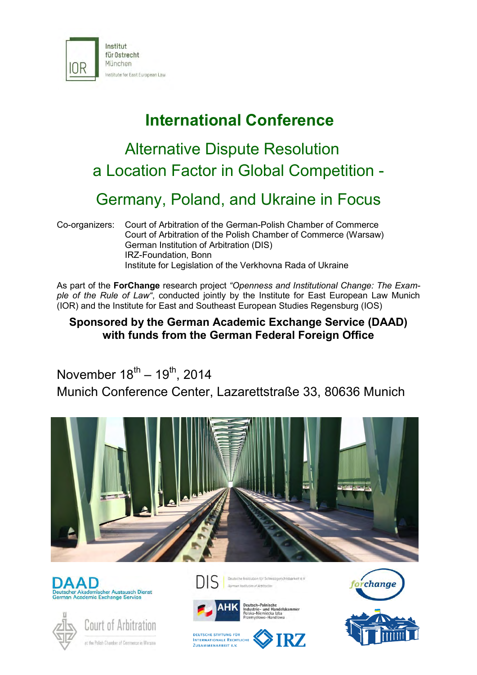

## **International Conference**

# Alternative Dispute Resolution a Location Factor in Global Competition -

## Germany, Poland, and Ukraine in Focus

Co-organizers: Court of Arbitration of the German-Polish Chamber of Commerce Court of Arbitration of the Polish Chamber of Commerce (Warsaw) German Institution of Arbitration (DIS) IRZ-Foundation, Bonn Institute for Legislation of the Verkhovna Rada of Ukraine

As part of the **ForChange** research project *"Openness and Institutional Change: The Example of the Rule of Law"*, conducted jointly by the Institute for East European Law Munich (IOR) and the Institute for East and Southeast European Studies Regensburg (IOS)

## **Sponsored by the German Academic Exchange Service (DAAD) with funds from the German Federal Foreign Office**

November 18<sup>th</sup> – 19<sup>th</sup>, 2014 Munich Conference Center, Lazarettstraße 33, 80636 Munich









Beutsche Institution (0/ Schiedsgerichtsbarkeit e.V. an Institution of Artilization



Deutsch-Polnische<br>Industrie- und Handelskammer<br>Polsko-Niemiecka Izba<br>Przemysłowo-Handlowa





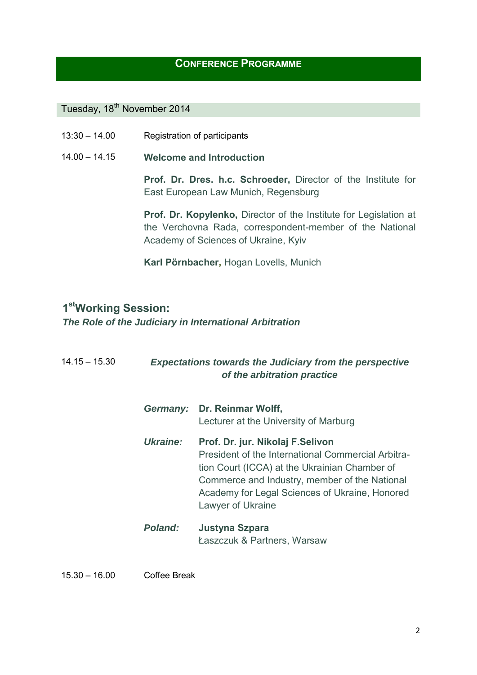#### **CONFERENCE PROGRAMME**

## Tuesday, 18<sup>th</sup> November 2014

| $13:30 - 14.00$ | Registration of participants |
|-----------------|------------------------------|
|-----------------|------------------------------|

14.00 – 14.15 **Welcome and Introduction**

**Prof. Dr. Dres. h.c. Schroeder,** Director of the Institute for East European Law Munich, Regensburg

**Prof. Dr. Kopylenko,** Director of the Institute for Legislation at the Verchovna Rada, correspondent-member of the National Academy of Sciences of Ukraine, Kyiv

**Karl Pörnbacher,** Hogan Lovells, Munich

## **1 stWorking Session:**

*The Role of the Judiciary in International Arbitration*

| $14.15 - 15.30$ | <b>Expectations towards the Judiciary from the perspective</b><br>of the arbitration practice |                                                                                                                                                                                                                                                                  |  |
|-----------------|-----------------------------------------------------------------------------------------------|------------------------------------------------------------------------------------------------------------------------------------------------------------------------------------------------------------------------------------------------------------------|--|
|                 |                                                                                               | Germany: Dr. Reinmar Wolff,<br>Lecturer at the University of Marburg                                                                                                                                                                                             |  |
|                 | Ukraine:                                                                                      | Prof. Dr. jur. Nikolaj F. Selivon<br>President of the International Commercial Arbitra-<br>tion Court (ICCA) at the Ukrainian Chamber of<br>Commerce and Industry, member of the National<br>Academy for Legal Sciences of Ukraine, Honored<br>Lawyer of Ukraine |  |
|                 | <b>Poland:</b>                                                                                | Justyna Szpara<br>Łaszczuk & Partners, Warsaw                                                                                                                                                                                                                    |  |

15.30 – 16.00 Coffee Break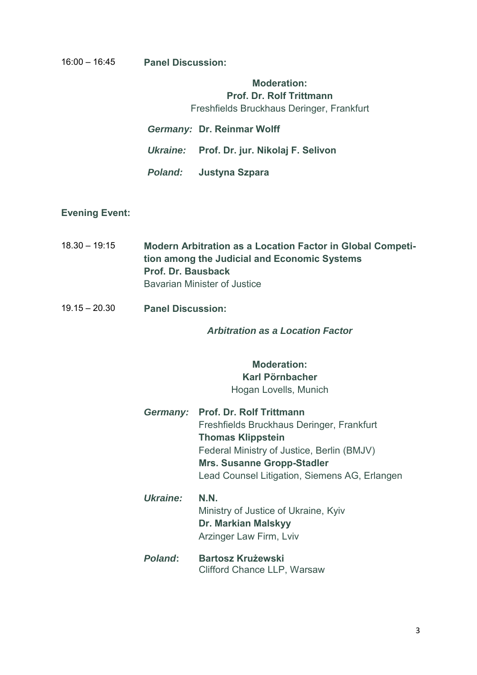#### 16:00 – 16:45 **Panel Discussion:**

#### **Moderation: Prof. Dr. Rolf Trittmann**

Freshfields Bruckhaus Deringer, Frankfurt

*Germany:* **Dr. Reinmar Wolff** *Ukraine:* **Prof. Dr. jur. Nikolaj F. Selivon**

*Poland:* **Justyna Szpara**

#### **Evening Event:**

- 18.30 19:15 **Modern Arbitration as a Location Factor in Global Competition among the Judicial and Economic Systems Prof. Dr. Bausback** Bavarian Minister of Justice
- 19.15 20.30 **Panel Discussion:**

#### *Arbitration as a Location Factor*

#### **Moderation: Karl Pörnbacher** Hogan Lovells, Munich

- *Germany:* **Prof. Dr. Rolf Trittmann** Freshfields Bruckhaus Deringer, Frankfurt **Thomas Klippstein** Federal Ministry of Justice, Berlin (BMJV) **Mrs. Susanne Gropp-Stadler** Lead Counsel Litigation, Siemens AG, Erlangen
- *Ukraine:* **N.N.** Ministry of Justice of Ukraine, Kyiv **Dr. Markian Malskyy** Arzinger Law Firm, Lviv
- *Poland***: Bartosz Krużewski** Clifford Chance LLP, Warsaw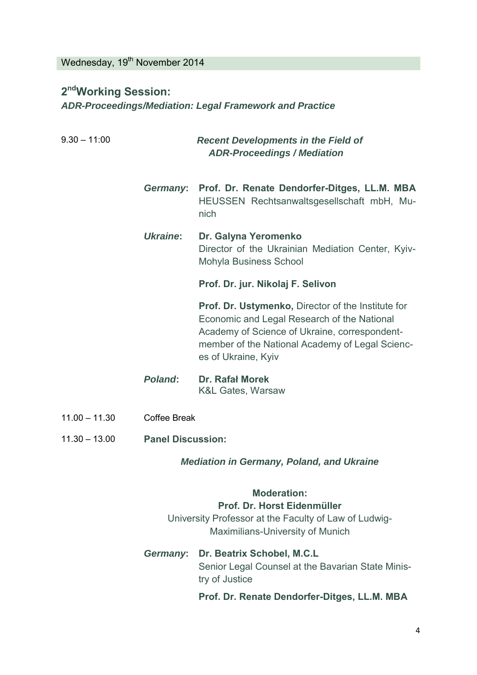Wednesday, 19<sup>th</sup> November 2014

## **2 ndWorking Session:**  *ADR-Proceedings/Mediation: Legal Framework and Practice*

9.30 – 11:00 *Recent Developments in the Field of ADR-Proceedings / Mediation Germany***: Prof. Dr. Renate Dendorfer-Ditges, LL.M. MBA** HEUSSEN Rechtsanwaltsgesellschaft mbH, Munich *Ukraine***: Dr. Galyna Yeromenko** Director of the Ukrainian Mediation Center, Kyiv-Mohyla Business School **Prof. Dr. jur. Nikolaj F. Selivon Prof. Dr. Ustymenko,** Director of the Institute for Economic and Legal Research of the National Academy of Science of Ukraine, correspondentmember of the National Academy of Legal Sciences of Ukraine, Kyiv *Poland***: Dr. Rafał Morek** K&L Gates, Warsaw 11.00 – 11.30 Coffee Break 11.30 – 13.00 **Panel Discussion:** *Mediation in Germany, Poland, and Ukraine*

## **Moderation: Prof. Dr. Horst Eidenmüller** University Professor at the Faculty of Law of Ludwig-

- Maximilians-University of Munich *Germany***: Dr. Beatrix Schobel, M.C.L**
	- Senior Legal Counsel at the Bavarian State Ministry of Justice

**Prof. Dr. Renate Dendorfer-Ditges, LL.M. MBA**